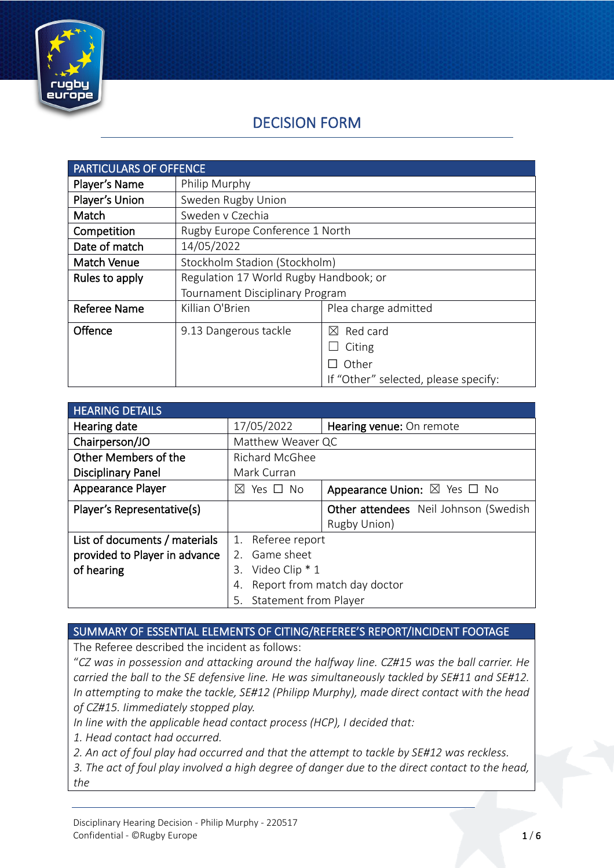

# DECISION FORM

| <b>PARTICULARS OF OFFENCE</b> |                                        |                                      |
|-------------------------------|----------------------------------------|--------------------------------------|
| Player's Name                 | Philip Murphy                          |                                      |
| Player's Union                | Sweden Rugby Union                     |                                      |
| Match                         | Sweden v Czechia                       |                                      |
| Competition                   | Rugby Europe Conference 1 North        |                                      |
| Date of match                 | 14/05/2022                             |                                      |
| <b>Match Venue</b>            | Stockholm Stadion (Stockholm)          |                                      |
| Rules to apply                | Regulation 17 World Rugby Handbook; or |                                      |
|                               | Tournament Disciplinary Program        |                                      |
| <b>Referee Name</b>           | Killian O'Brien                        | Plea charge admitted                 |
| Offence                       | 9.13 Dangerous tackle                  | Red card<br>$\bowtie$                |
|                               |                                        | Citing                               |
|                               |                                        | Other                                |
|                               |                                        | If "Other" selected, please specify: |

| <b>HEARING DETAILS</b>        |                                    |                                             |
|-------------------------------|------------------------------------|---------------------------------------------|
| Hearing date                  | 17/05/2022                         | Hearing venue: On remote                    |
| Chairperson/JO                | Matthew Weaver QC                  |                                             |
| Other Members of the          | Richard McGhee                     |                                             |
| <b>Disciplinary Panel</b>     | Mark Curran                        |                                             |
| <b>Appearance Player</b>      | Yes □ No<br>$\bowtie$              | Appearance Union: $\boxtimes$ Yes $\Box$ No |
| Player's Representative(s)    |                                    | Other attendees Neil Johnson (Swedish       |
|                               |                                    | Rugby Union)                                |
| List of documents / materials | 1. Referee report                  |                                             |
| provided to Player in advance | 2. Game sheet                      |                                             |
| of hearing                    | Video Clip * 1<br>3.               |                                             |
|                               | Report from match day doctor<br>4. |                                             |
|                               | <b>Statement from Player</b><br>5. |                                             |

#### SUMMARY OF ESSENTIAL ELEMENTS OF CITING/REFEREE'S REPORT/INCIDENT FOOTAGE

The Referee described the incident as follows:

"*CZ was in possession and attacking around the halfway line. CZ#15 was the ball carrier. He carried the ball to the SE defensive line. He was simultaneously tackled by SE#11 and SE#12. In attempting to make the tackle, SE#12 (Philipp Murphy), made direct contact with the head of CZ#15. Iimmediately stopped play.*

*In line with the applicable head contact process (HCP), I decided that:*

*1. Head contact had occurred.*

*2. An act of foul play had occurred and that the attempt to tackle by SE#12 was reckless.*

*3. The act of foul play involved a high degree of danger due to the direct contact to the head, the*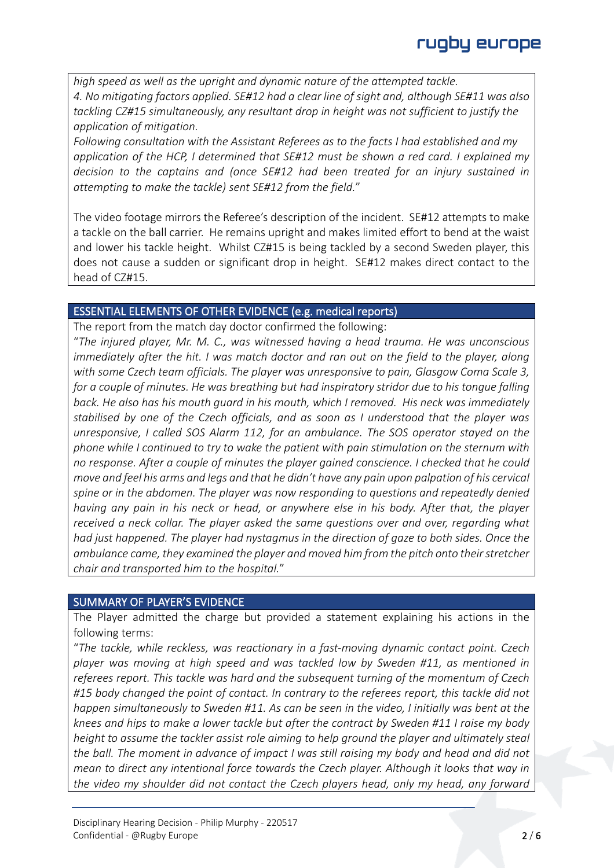*high speed as well as the upright and dynamic nature of the attempted tackle. 4. No mitigating factors applied. SE#12 had a clear line of sight and, although SE#11 was also tackling CZ#15 simultaneously, any resultant drop in height was not sufficient to justify the application of mitigation.*

*Following consultation with the Assistant Referees as to the facts I had established and my application of the HCP, I determined that SE#12 must be shown a red card. I explained my decision to the captains and (once SE#12 had been treated for an injury sustained in attempting to make the tackle) sent SE#12 from the field.*"

The video footage mirrors the Referee's description of the incident. SE#12 attempts to make a tackle on the ball carrier. He remains upright and makes limited effort to bend at the waist and lower his tackle height. Whilst CZ#15 is being tackled by a second Sweden player, this does not cause a sudden or significant drop in height. SE#12 makes direct contact to the head of CZ#15.

## ESSENTIAL ELEMENTS OF OTHER EVIDENCE (e.g. medical reports)

The report from the match day doctor confirmed the following:

"*The injured player, Mr. M. C., was witnessed having a head trauma. He was unconscious immediately after the hit. I was match doctor and ran out on the field to the player, along with some Czech team officials. The player was unresponsive to pain, Glasgow Coma Scale 3, for a couple of minutes. He was breathing but had inspiratory stridor due to his tongue falling back. He also has his mouth guard in his mouth, which I removed. His neck was immediately stabilised by one of the Czech officials, and as soon as I understood that the player was unresponsive, I called SOS Alarm 112, for an ambulance. The SOS operator stayed on the phone while I continued to try to wake the patient with pain stimulation on the sternum with no response. After a couple of minutes the player gained conscience. I checked that he could move and feel his arms and legs and that he didn't have any pain upon palpation of his cervical spine or in the abdomen. The player was now responding to questions and repeatedly denied having any pain in his neck or head, or anywhere else in his body. After that, the player received a neck collar. The player asked the same questions over and over, regarding what had just happened. The player had nystagmus in the direction of gaze to both sides. Once the ambulance came, they examined the player and moved him from the pitch onto their stretcher chair and transported him to the hospital.*"

## SUMMARY OF PLAYER'S EVIDENCE

The Player admitted the charge but provided a statement explaining his actions in the following terms:

"*The tackle, while reckless, was reactionary in a fast-moving dynamic contact point. Czech player was moving at high speed and was tackled low by Sweden #11, as mentioned in referees report. This tackle was hard and the subsequent turning of the momentum of Czech #15 body changed the point of contact. In contrary to the referees report, this tackle did not happen simultaneously to Sweden #11. As can be seen in the video, I initially was bent at the knees and hips to make a lower tackle but after the contract by Sweden #11 I raise my body height to assume the tackler assist role aiming to help ground the player and ultimately steal the ball. The moment in advance of impact I was still raising my body and head and did not mean to direct any intentional force towards the Czech player. Although it looks that way in the video my shoulder did not contact the Czech players head, only my head, any forward*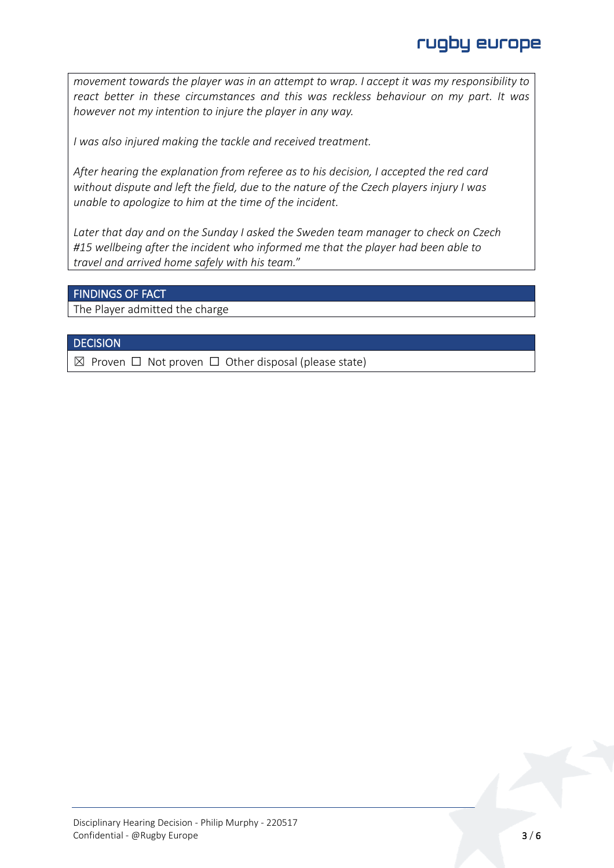*movement towards the player was in an attempt to wrap. I accept it was my responsibility to react better in these circumstances and this was reckless behaviour on my part. It was however not my intention to injure the player in any way.*

*I was also injured making the tackle and received treatment.*

*After hearing the explanation from referee as to his decision, I accepted the red card without dispute and left the field, due to the nature of the Czech players injury I was unable to apologize to him at the time of the incident.*

*Later that day and on the Sunday I asked the Sweden team manager to check on Czech #15 wellbeing after the incident who informed me that the player had been able to travel and arrived home safely with his team.*"

#### FINDINGS OF FACT

The Player admitted the charge

#### **DECISION**

 $\boxtimes$  Proven  $\Box$  Not proven  $\Box$  Other disposal (please state)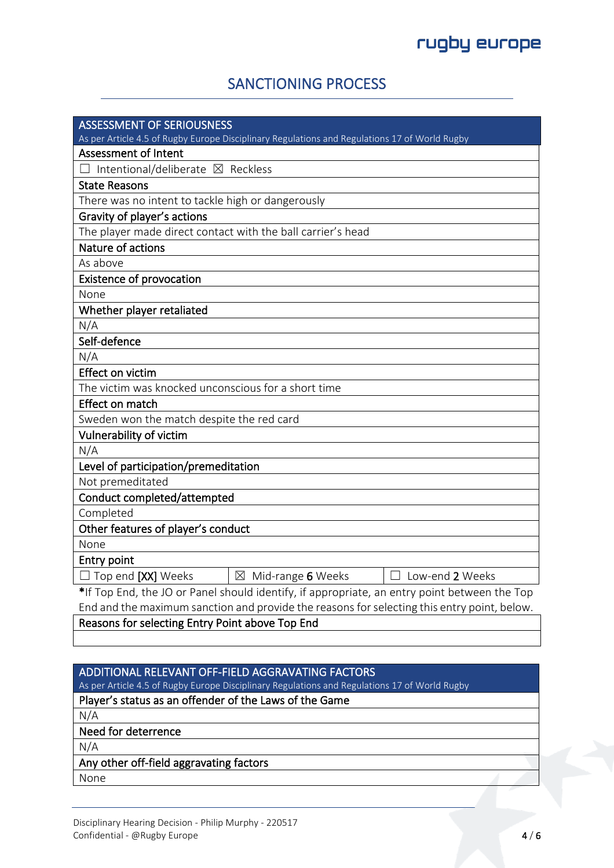## SANCTIONING PROCESS

| <b>ASSESSMENT OF SERIOUSNESS</b>                                                              |  |  |
|-----------------------------------------------------------------------------------------------|--|--|
| As per Article 4.5 of Rugby Europe Disciplinary Regulations and Regulations 17 of World Rugby |  |  |
| <b>Assessment of Intent</b>                                                                   |  |  |
| Intentional/deliberate ⊠ Reckless                                                             |  |  |
| <b>State Reasons</b>                                                                          |  |  |
| There was no intent to tackle high or dangerously                                             |  |  |
| Gravity of player's actions                                                                   |  |  |
| The player made direct contact with the ball carrier's head                                   |  |  |
| Nature of actions                                                                             |  |  |
| As above                                                                                      |  |  |
| <b>Existence of provocation</b>                                                               |  |  |
| None                                                                                          |  |  |
| Whether player retaliated                                                                     |  |  |
| N/A                                                                                           |  |  |
| Self-defence                                                                                  |  |  |
| N/A                                                                                           |  |  |
| <b>Effect on victim</b>                                                                       |  |  |
| The victim was knocked unconscious for a short time                                           |  |  |
| Effect on match                                                                               |  |  |
| Sweden won the match despite the red card                                                     |  |  |
| Vulnerability of victim                                                                       |  |  |
| N/A                                                                                           |  |  |
| Level of participation/premeditation                                                          |  |  |
| Not premeditated                                                                              |  |  |
| Conduct completed/attempted                                                                   |  |  |
| Completed                                                                                     |  |  |
| Other features of player's conduct                                                            |  |  |
| None                                                                                          |  |  |
| Entry point                                                                                   |  |  |
| $\Box$ Top end [XX] Weeks<br>$\boxtimes$ Mid-range 6 Weeks<br>□ Low-end 2 Weeks               |  |  |
| *If Top End, the JO or Panel should identify, if appropriate, an entry point between the Top  |  |  |
| End and the maximum sanction and provide the reasons for selecting this entry point, below.   |  |  |

#### Reasons for selecting Entry Point above Top End

## ADDITIONAL RELEVANT OFF-FIELD AGGRAVATING FACTORS

As per Article 4.5 of Rugby Europe Disciplinary Regulations and Regulations 17 of World Rugby

## Player's status as an offender of the Laws of the Game

N/A

#### Need for deterrence

N/A

#### Any other off-field aggravating factors

None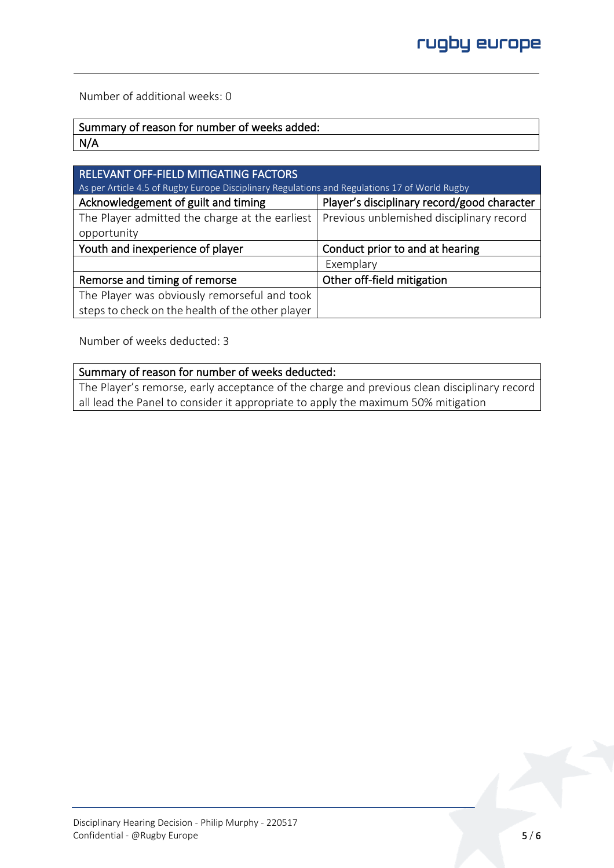Number of additional weeks: 0

| Summary of reason for number of weeks added: |
|----------------------------------------------|
| N/A                                          |

| <b>RELEVANT OFF-FIELD MITIGATING FACTORS</b>                                                  |                                             |  |  |
|-----------------------------------------------------------------------------------------------|---------------------------------------------|--|--|
| As per Article 4.5 of Rugby Europe Disciplinary Regulations and Regulations 17 of World Rugby |                                             |  |  |
| Acknowledgement of guilt and timing                                                           | Player's disciplinary record/good character |  |  |
| The Player admitted the charge at the earliest                                                | Previous unblemished disciplinary record    |  |  |
| opportunity                                                                                   |                                             |  |  |
| Youth and inexperience of player                                                              | Conduct prior to and at hearing             |  |  |
|                                                                                               | Exemplary                                   |  |  |
| Remorse and timing of remorse                                                                 | Other off-field mitigation                  |  |  |
| The Player was obviously remorseful and took                                                  |                                             |  |  |
| steps to check on the health of the other player                                              |                                             |  |  |

Number of weeks deducted: 3

#### Summary of reason for number of weeks deducted:

The Player's remorse, early acceptance of the charge and previous clean disciplinary record all lead the Panel to consider it appropriate to apply the maximum 50% mitigation